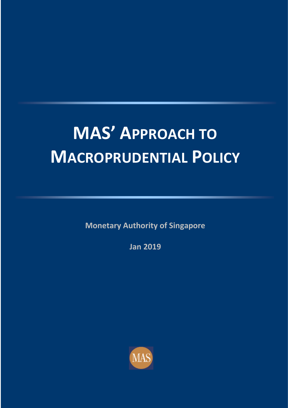# **MAS' APPROACH TO MACROPRUDENTIAL POLICY**

**Monetary Authority of Singapore**

**Jan 2019**

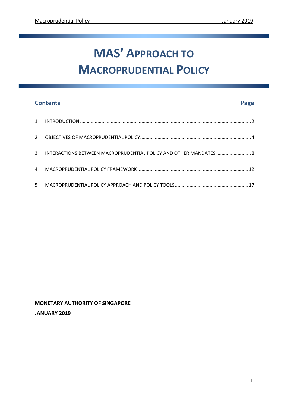## **MAS' APPROACH TO MACROPRUDENTIAL POLICY**

### **Contents Page**

|   | 3 INTERACTIONS BETWEEN MACROPRUDENTIAL POLICY AND OTHER MANDATES  8 |  |
|---|---------------------------------------------------------------------|--|
| 4 |                                                                     |  |
| 5 |                                                                     |  |

**MONETARY AUTHORITY OF SINGAPORE JANUARY 2019**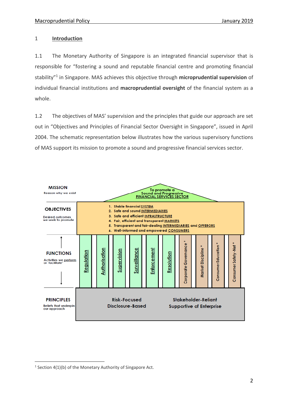#### 1 **Introduction**

1.1 The Monetary Authority of Singapore is an integrated financial supervisor that is responsible for "fostering a sound and reputable financial centre and promoting financial stability" 1 in Singapore. MAS achieves this objective through **microprudential supervision** of individual financial institutions and **macroprudential oversight** of the financial system as a whole.

1.2 The objectives of MAS' supervision and the principles that guide our approach are set out in "Objectives and Principles of Financial Sector Oversight in Singapore", issued in April 2004. The schematic representation below illustrates how the various supervisory functions of MAS support its mission to promote a sound and progressive financial services sector.



<u>.</u>

 $1$  Section 4(1)(b) of the Monetary Authority of Singapore Act.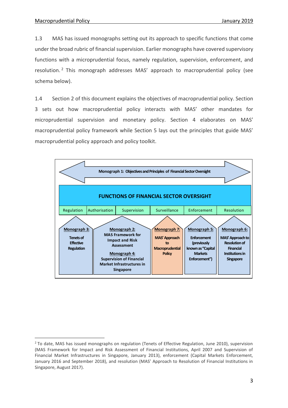1.3 MAS has issued monographs setting out its approach to specific functions that come under the broad rubric of financial supervision. Earlier monographs have covered supervisory functions with a microprudential focus, namely regulation, supervision, enforcement, and resolution. <sup>2</sup> This monograph addresses MAS' approach to macroprudential policy (see schema below).

1.4 Section 2 of this document explains the objectives of macroprudential policy. Section 3 sets out how macroprudential policy interacts with MAS' other mandates for microprudential supervision and monetary policy. Section 4 elaborates on MAS' macroprudential policy framework while Section 5 lays out the principles that guide MAS' macroprudential policy approach and policy toolkit.

![](_page_3_Figure_4.jpeg)

<sup>1</sup>  $2$  To date, MAS has issued monographs on regulation (Tenets of Effective Regulation, June 2010), supervision (MAS Framework for Impact and Risk Assessment of Financial Institutions, April 2007 and Supervision of Financial Market Infrastructures in Singapore, January 2013), enforcement (Capital Markets Enforcement, January 2016 and September 2018), and resolution (MAS' Approach to Resolution of Financial Institutions in Singapore, August 2017).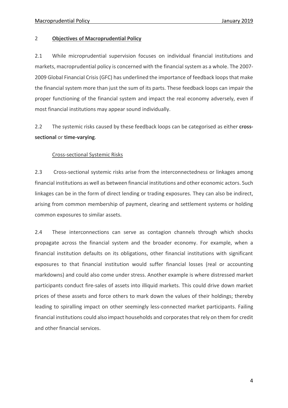#### 2 **Objectives of Macroprudential Policy**

2.1 While microprudential supervision focuses on individual financial institutions and markets, macroprudential policy is concerned with the financial system as a whole. The 2007- 2009 Global Financial Crisis (GFC) has underlined the importance of feedback loops that make the financial system more than just the sum of its parts. These feedback loops can impair the proper functioning of the financial system and impact the real economy adversely, even if most financial institutions may appear sound individually.

2.2 The systemic risks caused by these feedback loops can be categorised as either **crosssectional** or **time-varying**.

#### Cross-sectional Systemic Risks

2.3 Cross-sectional systemic risks arise from the interconnectedness or linkages among financial institutions as well as between financial institutions and other economic actors. Such linkages can be in the form of direct lending or trading exposures. They can also be indirect, arising from common membership of payment, clearing and settlement systems or holding common exposures to similar assets.

2.4 These interconnections can serve as contagion channels through which shocks propagate across the financial system and the broader economy. For example, when a financial institution defaults on its obligations, other financial institutions with significant exposures to that financial institution would suffer financial losses (real or accounting markdowns) and could also come under stress. Another example is where distressed market participants conduct fire-sales of assets into illiquid markets. This could drive down market prices of these assets and force others to mark down the values of their holdings; thereby leading to spiralling impact on other seemingly less-connected market participants. Failing financial institutions could also impact households and corporates that rely on them for credit and other financial services.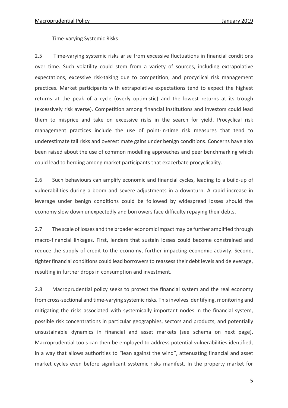#### Time-varying Systemic Risks

2.5 Time-varying systemic risks arise from excessive fluctuations in financial conditions over time. Such volatility could stem from a variety of sources, including extrapolative expectations, excessive risk-taking due to competition, and procyclical risk management practices. Market participants with extrapolative expectations tend to expect the highest returns at the peak of a cycle (overly optimistic) and the lowest returns at its trough (excessively risk averse). Competition among financial institutions and investors could lead them to misprice and take on excessive risks in the search for yield. Procyclical risk management practices include the use of point-in-time risk measures that tend to underestimate tail risks and overestimate gains under benign conditions. Concerns have also been raised about the use of common modelling approaches and peer benchmarking which could lead to herding among market participants that exacerbate procyclicality.

2.6 Such behaviours can amplify economic and financial cycles, leading to a build-up of vulnerabilities during a boom and severe adjustments in a downturn. A rapid increase in leverage under benign conditions could be followed by widespread losses should the economy slow down unexpectedly and borrowers face difficulty repaying their debts.

2.7 The scale of losses and the broader economic impact may be further amplified through macro-financial linkages. First, lenders that sustain losses could become constrained and reduce the supply of credit to the economy, further impacting economic activity. Second, tighter financial conditions could lead borrowers to reassess their debt levels and deleverage, resulting in further drops in consumption and investment.

2.8 Macroprudential policy seeks to protect the financial system and the real economy from cross-sectional and time-varying systemic risks. This involves identifying, monitoring and mitigating the risks associated with systemically important nodes in the financial system, possible risk concentrations in particular geographies, sectors and products, and potentially unsustainable dynamics in financial and asset markets (see schema on next page). Macroprudential tools can then be employed to address potential vulnerabilities identified, in a way that allows authorities to "lean against the wind", attenuating financial and asset market cycles even before significant systemic risks manifest. In the property market for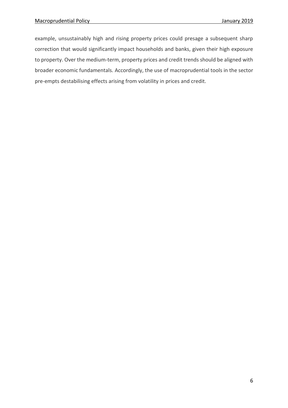example, unsustainably high and rising property prices could presage a subsequent sharp correction that would significantly impact households and banks, given their high exposure to property. Over the medium-term, property prices and credit trends should be aligned with broader economic fundamentals. Accordingly, the use of macroprudential tools in the sector pre-empts destabilising effects arising from volatility in prices and credit.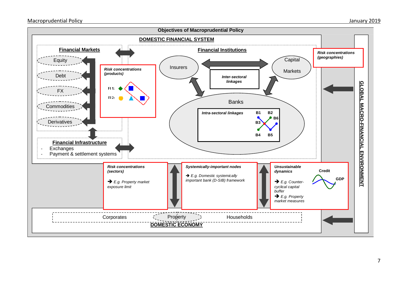![](_page_7_Figure_2.jpeg)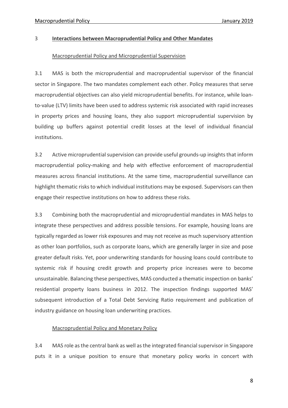#### 3 **Interactions between Macroprudential Policy and Other Mandates**

#### Macroprudential Policy and Microprudential Supervision

3.1 MAS is both the microprudential and macroprudential supervisor of the financial sector in Singapore. The two mandates complement each other. Policy measures that serve macroprudential objectives can also yield microprudential benefits. For instance, while loanto-value (LTV) limits have been used to address systemic risk associated with rapid increases in property prices and housing loans, they also support microprudential supervision by building up buffers against potential credit losses at the level of individual financial institutions.

3.2 Active microprudential supervision can provide useful grounds-up insights that inform macroprudential policy-making and help with effective enforcement of macroprudential measures across financial institutions. At the same time, macroprudential surveillance can highlight thematic risks to which individual institutions may be exposed. Supervisors can then engage their respective institutions on how to address these risks.

3.3 Combining both the macroprudential and microprudential mandates in MAS helps to integrate these perspectives and address possible tensions. For example, housing loans are typically regarded as lower risk exposures and may not receive as much supervisory attention as other loan portfolios, such as corporate loans, which are generally larger in size and pose greater default risks. Yet, poor underwriting standards for housing loans could contribute to systemic risk if housing credit growth and property price increases were to become unsustainable. Balancing these perspectives, MAS conducted a thematic inspection on banks' residential property loans business in 2012. The inspection findings supported MAS' subsequent introduction of a Total Debt Servicing Ratio requirement and publication of industry guidance on housing loan underwriting practices.

#### Macroprudential Policy and Monetary Policy

3.4 MAS role asthe central bank as well as the integrated financial supervisor in Singapore puts it in a unique position to ensure that monetary policy works in concert with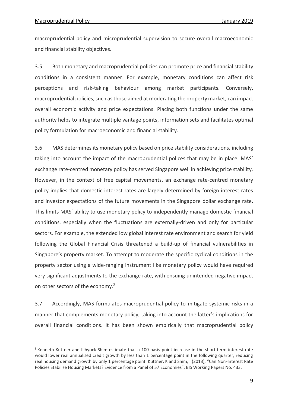1

macroprudential policy and microprudential supervision to secure overall macroeconomic and financial stability objectives.

3.5 Both monetary and macroprudential policies can promote price and financial stability conditions in a consistent manner. For example, monetary conditions can affect risk perceptions and risk-taking behaviour among market participants. Conversely, macroprudential policies, such as those aimed at moderating the property market, can impact overall economic activity and price expectations. Placing both functions under the same authority helps to integrate multiple vantage points, information sets and facilitates optimal policy formulation for macroeconomic and financial stability.

3.6 MAS determines its monetary policy based on price stability considerations, including taking into account the impact of the macroprudential polices that may be in place. MAS' exchange rate-centred monetary policy has served Singapore well in achieving price stability. However, in the context of free capital movements, an exchange rate-centred monetary policy implies that domestic interest rates are largely determined by foreign interest rates and investor expectations of the future movements in the Singapore dollar exchange rate. This limits MAS' ability to use monetary policy to independently manage domestic financial conditions, especially when the fluctuations are externally-driven and only for particular sectors. For example, the extended low global interest rate environment and search for yield following the Global Financial Crisis threatened a build-up of financial vulnerabilities in Singapore's property market. To attempt to moderate the specific cyclical conditions in the property sector using a wide-ranging instrument like monetary policy would have required very significant adjustments to the exchange rate, with ensuing unintended negative impact on other sectors of the economy.<sup>3</sup>

3.7 Accordingly, MAS formulates macroprudential policy to mitigate systemic risks in a manner that complements monetary policy, taking into account the latter's implications for overall financial conditions. It has been shown empirically that macroprudential policy

<sup>&</sup>lt;sup>3</sup> Kenneth Kuttner and Illhyock Shim estimate that a 100 basis-point increase in the short-term interest rate would lower real annualised credit growth by less than 1 percentage point in the following quarter, reducing real housing demand growth by only 1 percentage point. Kuttner, K and Shim, I (2013), "Can Non-Interest Rate Policies Stabilise Housing Markets? Evidence from a Panel of 57 Economies", BIS Working Papers No. 433.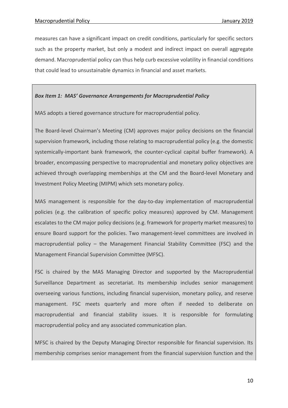measures can have a significant impact on credit conditions, particularly for specific sectors such as the property market, but only a modest and indirect impact on overall aggregate demand. Macroprudential policy can thus help curb excessive volatility in financial conditions that could lead to unsustainable dynamics in financial and asset markets.

#### *Box Item 1: MAS' Governance Arrangements for Macroprudential Policy*

MAS adopts a tiered governance structure for macroprudential policy.

The Board-level Chairman's Meeting (CM) approves major policy decisions on the financial supervision framework, including those relating to macroprudential policy (e.g. the domestic systemically-important bank framework, the counter-cyclical capital buffer framework). A broader, encompassing perspective to macroprudential and monetary policy objectives are achieved through overlapping memberships at the CM and the Board-level Monetary and Investment Policy Meeting (MIPM) which sets monetary policy.

MAS management is responsible for the day-to-day implementation of macroprudential policies (e.g. the calibration of specific policy measures) approved by CM. Management escalates to the CM major policy decisions (e.g. framework for property market measures) to ensure Board support for the policies. Two management-level committees are involved in macroprudential policy – the Management Financial Stability Committee (FSC) and the Management Financial Supervision Committee (MFSC).

FSC is chaired by the MAS Managing Director and supported by the Macroprudential Surveillance Department as secretariat. Its membership includes senior management overseeing various functions, including financial supervision, monetary policy, and reserve management. FSC meets quarterly and more often if needed to deliberate on macroprudential and financial stability issues. It is responsible for formulating macroprudential policy and any associated communication plan.

MFSC is chaired by the Deputy Managing Director responsible for financial supervision. Its membership comprises senior management from the financial supervision function and the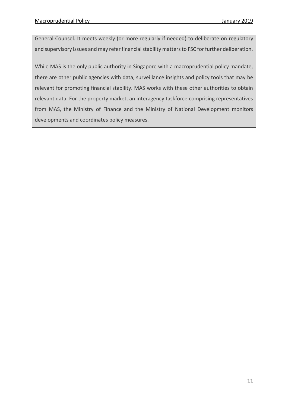General Counsel. It meets weekly (or more regularly if needed) to deliberate on regulatory and supervisory issues and may refer financial stability matters to FSC for further deliberation.

While MAS is the only public authority in Singapore with a macroprudential policy mandate, there are other public agencies with data, surveillance insights and policy tools that may be relevant for promoting financial stability. MAS works with these other authorities to obtain relevant data. For the property market, an interagency taskforce comprising representatives from MAS, the Ministry of Finance and the Ministry of National Development monitors developments and coordinates policy measures.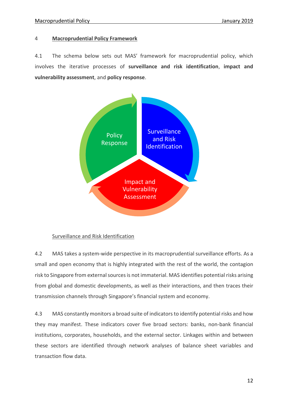#### 4 **Macroprudential Policy Framework**

4.1 The schema below sets out MAS' framework for macroprudential policy, which involves the iterative processes of **surveillance and risk identification**, **impact and vulnerability assessment**, and **policy response**.

![](_page_12_Figure_4.jpeg)

#### Surveillance and Risk Identification

4.2 MAS takes a system-wide perspective in its macroprudential surveillance efforts. As a small and open economy that is highly integrated with the rest of the world, the contagion risk to Singapore from external sources is not immaterial. MAS identifies potential risks arising from global and domestic developments, as well as their interactions, and then traces their transmission channels through Singapore's financial system and economy.

4.3 MAS constantly monitors a broad suite of indicators to identify potential risks and how they may manifest. These indicators cover five broad sectors: banks, non-bank financial institutions, corporates, households, and the external sector. Linkages within and between these sectors are identified through network analyses of balance sheet variables and transaction flow data.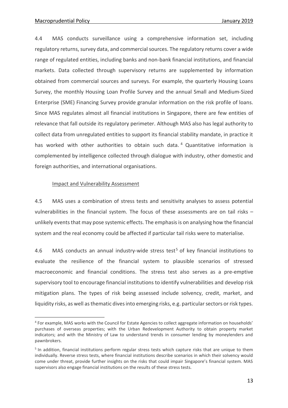<u>.</u>

4.4 MAS conducts surveillance using a comprehensive information set, including regulatory returns, survey data, and commercial sources. The regulatory returns cover a wide range of regulated entities, including banks and non-bank financial institutions, and financial markets. Data collected through supervisory returns are supplemented by information obtained from commercial sources and surveys. For example, the quarterly Housing Loans Survey, the monthly Housing Loan Profile Survey and the annual Small and Medium-Sized Enterprise (SME) Financing Survey provide granular information on the risk profile of loans. Since MAS regulates almost all financial institutions in Singapore, there are few entities of relevance that fall outside its regulatory perimeter. Although MAS also has legal authority to collect data from unregulated entities to support its financial stability mandate, in practice it has worked with other authorities to obtain such data.<sup>4</sup> Quantitative information is complemented by intelligence collected through dialogue with industry, other domestic and foreign authorities, and international organisations.

#### Impact and Vulnerability Assessment

4.5 MAS uses a combination of stress tests and sensitivity analyses to assess potential vulnerabilities in the financial system. The focus of these assessments are on tail risks – unlikely events that may pose systemic effects. The emphasis is on analysing how the financial system and the real economy could be affected if particular tail risks were to materialise.

4.6 MAS conducts an annual industry-wide stress test<sup>5</sup> of key financial institutions to evaluate the resilience of the financial system to plausible scenarios of stressed macroeconomic and financial conditions. The stress test also serves as a pre-emptive supervisory tool to encourage financial institutions to identify vulnerabilities and develop risk mitigation plans. The types of risk being assessed include solvency, credit, market, and liquidity risks, as well as thematic dives into emerging risks, e.g. particular sectors or risk types.

<sup>4</sup> For example, MAS works with the Council for Estate Agencies to collect aggregate information on households' purchases of overseas properties; with the Urban Redevelopment Authority to obtain property market indicators; and with the Ministry of Law to understand trends in consumer lending by moneylenders and pawnbrokers.

<sup>&</sup>lt;sup>5</sup> In addition, financial institutions perform regular stress tests which capture risks that are unique to them individually. Reverse stress tests, where financial institutions describe scenarios in which their solvency would come under threat, provide further insights on the risks that could impair Singapore's financial system. MAS supervisors also engage financial institutions on the results of these stress tests.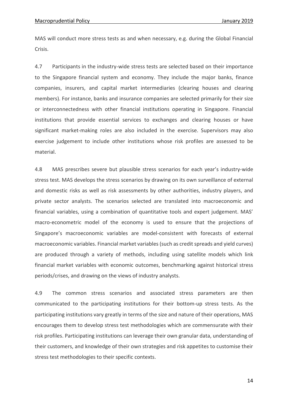MAS will conduct more stress tests as and when necessary, e.g. during the Global Financial Crisis.

4.7 Participants in the industry-wide stress tests are selected based on their importance to the Singapore financial system and economy. They include the major banks, finance companies, insurers, and capital market intermediaries (clearing houses and clearing members). For instance, banks and insurance companies are selected primarily for their size or interconnectedness with other financial institutions operating in Singapore. Financial institutions that provide essential services to exchanges and clearing houses or have significant market-making roles are also included in the exercise. Supervisors may also exercise judgement to include other institutions whose risk profiles are assessed to be material.

4.8 MAS prescribes severe but plausible stress scenarios for each year's industry-wide stress test. MAS develops the stress scenarios by drawing on its own surveillance of external and domestic risks as well as risk assessments by other authorities, industry players, and private sector analysts. The scenarios selected are translated into macroeconomic and financial variables, using a combination of quantitative tools and expert judgement. MAS' macro-econometric model of the economy is used to ensure that the projections of Singapore's macroeconomic variables are model-consistent with forecasts of external macroeconomic variables. Financial market variables (such as credit spreads and yield curves) are produced through a variety of methods, including using satellite models which link financial market variables with economic outcomes, benchmarking against historical stress periods/crises, and drawing on the views of industry analysts.

4.9 The common stress scenarios and associated stress parameters are then communicated to the participating institutions for their bottom-up stress tests. As the participating institutions vary greatly in terms of the size and nature of their operations, MAS encourages them to develop stress test methodologies which are commensurate with their risk profiles. Participating institutions can leverage their own granular data, understanding of their customers, and knowledge of their own strategies and risk appetites to customise their stress test methodologies to their specific contexts.

14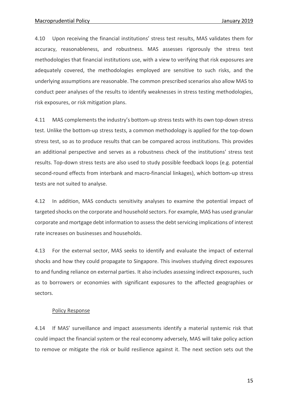4.10 Upon receiving the financial institutions' stress test results, MAS validates them for accuracy, reasonableness, and robustness. MAS assesses rigorously the stress test methodologies that financial institutions use, with a view to verifying that risk exposures are adequately covered, the methodologies employed are sensitive to such risks, and the underlying assumptions are reasonable. The common prescribed scenarios also allow MAS to conduct peer analyses of the results to identify weaknesses in stress testing methodologies, risk exposures, or risk mitigation plans.

4.11 MAS complements the industry's bottom-up stress tests with its own top-down stress test. Unlike the bottom-up stress tests, a common methodology is applied for the top-down stress test, so as to produce results that can be compared across institutions. This provides an additional perspective and serves as a robustness check of the institutions' stress test results. Top-down stress tests are also used to study possible feedback loops (e.g. potential second-round effects from interbank and macro-financial linkages), which bottom-up stress tests are not suited to analyse.

4.12 In addition, MAS conducts sensitivity analyses to examine the potential impact of targeted shocks on the corporate and household sectors. For example, MAS has used granular corporate and mortgage debt information to assess the debt servicing implications of interest rate increases on businesses and households.

4.13 For the external sector, MAS seeks to identify and evaluate the impact of external shocks and how they could propagate to Singapore. This involves studying direct exposures to and funding reliance on external parties. It also includes assessing indirect exposures, such as to borrowers or economies with significant exposures to the affected geographies or sectors.

#### Policy Response

4.14 If MAS' surveillance and impact assessments identify a material systemic risk that could impact the financial system or the real economy adversely, MAS will take policy action to remove or mitigate the risk or build resilience against it. The next section sets out the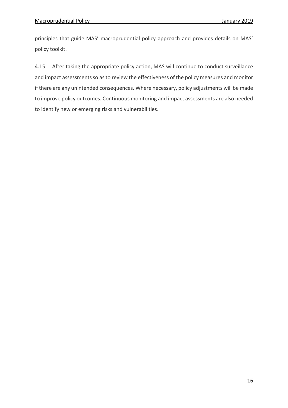principles that guide MAS' macroprudential policy approach and provides details on MAS' policy toolkit.

4.15 After taking the appropriate policy action, MAS will continue to conduct surveillance and impact assessments so as to review the effectiveness of the policy measures and monitor if there are any unintended consequences. Where necessary, policy adjustments will be made to improve policy outcomes. Continuous monitoring and impact assessments are also needed to identify new or emerging risks and vulnerabilities.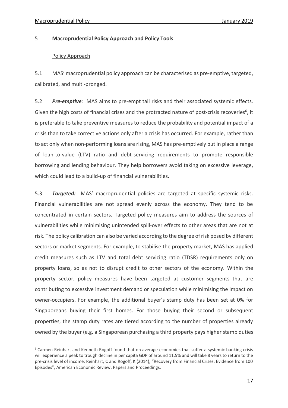1

#### 5 **Macroprudential Policy Approach and Policy Tools**

#### Policy Approach

5.1 MAS' macroprudential policy approach can be characterised as pre-emptive, targeted, calibrated, and multi-pronged.

5.2 *Pre-emptive:* MAS aims to pre-empt tail risks and their associated systemic effects. Given the high costs of financial crises and the protracted nature of post-crisis recoveries<sup>6</sup>, it is preferable to take preventive measures to reduce the probability and potential impact of a crisis than to take corrective actions only after a crisis has occurred. For example, rather than to act only when non-performing loans are rising, MAS has pre-emptively put in place a range of loan-to-value (LTV) ratio and debt-servicing requirements to promote responsible borrowing and lending behaviour. They help borrowers avoid taking on excessive leverage, which could lead to a build-up of financial vulnerabilities.

5.3 *Targeted:* MAS' macroprudential policies are targeted at specific systemic risks. Financial vulnerabilities are not spread evenly across the economy. They tend to be concentrated in certain sectors. Targeted policy measures aim to address the sources of vulnerabilities while minimising unintended spill-over effects to other areas that are not at risk. The policy calibration can also be varied according to the degree of risk posed by different sectors or market segments. For example, to stabilise the property market, MAS has applied credit measures such as LTV and total debt servicing ratio (TDSR) requirements only on property loans, so as not to disrupt credit to other sectors of the economy. Within the property sector, policy measures have been targeted at customer segments that are contributing to excessive investment demand or speculation while minimising the impact on owner-occupiers. For example, the additional buyer's stamp duty has been set at 0% for Singaporeans buying their first homes. For those buying their second or subsequent properties, the stamp duty rates are tiered according to the number of properties already owned by the buyer (e.g. a Singaporean purchasing a third property pays higher stamp duties

<sup>&</sup>lt;sup>6</sup> Carmen Reinhart and Kenneth Rogoff found that on average economies that suffer a systemic banking crisis will experience a peak to trough decline in per capita GDP of around 11.5% and will take 8 years to return to the pre-crisis level of income. Reinhart, C and Rogoff, K (2014), "Recovery from Financial Crises: Evidence from 100 Episodes", American Economic Review: Papers and Proceedings.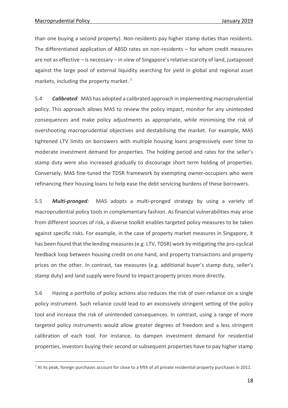<u>.</u>

than one buying a second property). Non-residents pay higher stamp duties than residents. The differentiated application of ABSD rates on non-residents – for whom credit measures are not as effective – is necessary – in view of Singapore's relative scarcity of land, juxtaposed against the large pool of external liquidity searching for yield in global and regional asset markets, including the property market. 7

5.4 *Calibrated:* MAS has adopted a calibrated approach in implementing macroprudential policy. This approach allows MAS to review the policy impact, monitor for any unintended consequences and make policy adjustments as appropriate, while minimising the risk of overshooting macroprudential objectives and destabilising the market. For example, MAS tightened LTV limits on borrowers with multiple housing loans progressively over time to moderate investment demand for properties. The holding period and rates for the seller's stamp duty were also increased gradually to discourage short term holding of properties. Conversely, MAS fine-tuned the TDSR framework by exempting owner-occupiers who were refinancing their housing loans to help ease the debt servicing burdens of these borrowers.

5.5 *Multi-pronged:* MAS adopts a multi-pronged strategy by using a variety of macroprudential policy tools in complementary fashion. As financial vulnerabilities may arise from different sources of risk, a diverse toolkit enables targeted policy measures to be taken against specific risks. For example, in the case of property market measures in Singapore, it has been found that the lending measures (e.g. LTV, TDSR) work by mitigating the pro-cyclical feedback loop between housing credit on one hand, and property transactions and property prices on the other. In contrast, tax measures (e.g. additional buyer's stamp duty, seller's stamp duty) and land supply were found to impact property prices more directly.

5.6 Having a portfolio of policy actions also reduces the risk of over-reliance on a single policy instrument. Such reliance could lead to an excessively stringent setting of the policy tool and increase the risk of unintended consequences. In contrast, using a range of more targeted policy instruments would allow greater degrees of freedom and a less stringent calibration of each tool. For instance, to dampen investment demand for residential properties, investors buying their second or subsequent properties have to pay higher stamp

 $7$  At its peak, foreign purchases account for close to a fifth of all private residential property purchases in 2011.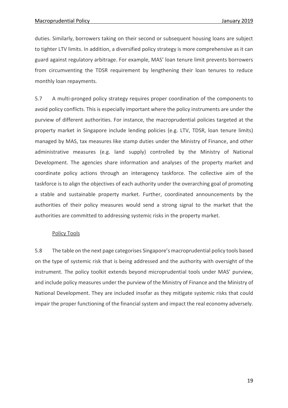duties. Similarly, borrowers taking on their second or subsequent housing loans are subject to tighter LTV limits. In addition, a diversified policy strategy is more comprehensive as it can guard against regulatory arbitrage. For example, MAS' loan tenure limit prevents borrowers from circumventing the TDSR requirement by lengthening their loan tenures to reduce monthly loan repayments.

5.7 A multi-pronged policy strategy requires proper coordination of the components to avoid policy conflicts. This is especially important where the policy instruments are under the purview of different authorities. For instance, the macroprudential policies targeted at the property market in Singapore include lending policies (e.g. LTV, TDSR, loan tenure limits) managed by MAS, tax measures like stamp duties under the Ministry of Finance, and other administrative measures (e.g. land supply) controlled by the Ministry of National Development. The agencies share information and analyses of the property market and coordinate policy actions through an interagency taskforce. The collective aim of the taskforce is to align the objectives of each authority under the overarching goal of promoting a stable and sustainable property market. Further, coordinated announcements by the authorities of their policy measures would send a strong signal to the market that the authorities are committed to addressing systemic risks in the property market.

#### Policy Tools

5.8 The table on the next page categorises Singapore's macroprudential policy tools based on the type of systemic risk that is being addressed and the authority with oversight of the instrument. The policy toolkit extends beyond microprudential tools under MAS' purview, and include policy measures under the purview of the Ministry of Finance and the Ministry of National Development. They are included insofar as they mitigate systemic risks that could impair the proper functioning of the financial system and impact the real economy adversely.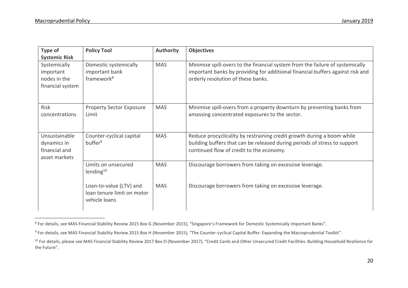$\overline{a}$ 

| Type of<br><b>Systemic Risk</b>                                | <b>Policy Tool</b>                                                     | Authority  | <b>Objectives</b>                                                                                                                                                                                     |
|----------------------------------------------------------------|------------------------------------------------------------------------|------------|-------------------------------------------------------------------------------------------------------------------------------------------------------------------------------------------------------|
| Systemically<br>important<br>nodes in the<br>financial system  | Domestic systemically<br>important bank<br>framework <sup>8</sup>      | <b>MAS</b> | Minimise spill-overs to the financial system from the failure of systemically<br>important banks by providing for additional financial buffers against risk and<br>orderly resolution of these banks. |
| Risk<br>concentrations                                         | <b>Property Sector Exposure</b><br>Limit                               | <b>MAS</b> | Minimise spill-overs from a property downturn by preventing banks from<br>amassing concentrated exposures to the sector.                                                                              |
| Unsustainable<br>dynamics in<br>financial and<br>asset markets | Counter-cyclical capital<br>buffer <sup>9</sup>                        | <b>MAS</b> | Reduce procyclicality by restraining credit growth during a boom while<br>building buffers that can be released during periods of stress to support<br>continued flow of credit to the economy.       |
|                                                                | Limits on unsecured<br>lending $10$                                    | <b>MAS</b> | Discourage borrowers from taking on excessive leverage.                                                                                                                                               |
|                                                                | Loan-to-value (LTV) and<br>loan tenure limit on motor<br>vehicle loans | <b>MAS</b> | Discourage borrowers from taking on excessive leverage.                                                                                                                                               |

<sup>&</sup>lt;sup>8</sup> For details, see MAS Financial Stability Review 2015 Box G (November 2015), "Singapore's Framework for Domestic Systemically Important Banks".

 $^9$  For details, see MAS Financial Stability Review 2015 Box H (November 2015), "The Counter-cyclical Capital Buffer: Expanding the Macroprudential Toolkit".

<sup>&</sup>lt;sup>10</sup> For details, please see MAS Financial Stability Review 2017 Box O (November 2017), "Credit Cards and Other Unsecured Credit Facilities: Building Household Resilience for the Future".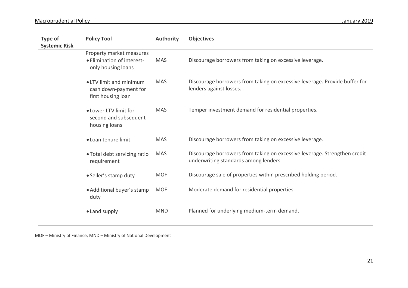| Type of<br><b>Systemic Risk</b> | <b>Policy Tool</b>                                                           | <b>Authority</b> | <b>Objectives</b>                                                                                                  |
|---------------------------------|------------------------------------------------------------------------------|------------------|--------------------------------------------------------------------------------------------------------------------|
|                                 | Property market measures<br>• Elimination of interest-<br>only housing loans | <b>MAS</b>       | Discourage borrowers from taking on excessive leverage.                                                            |
|                                 | • LTV limit and minimum<br>cash down-payment for<br>first housing loan       | <b>MAS</b>       | Discourage borrowers from taking on excessive leverage. Provide buffer for<br>lenders against losses.              |
|                                 | . Lower LTV limit for<br>second and subsequent<br>housing loans              | <b>MAS</b>       | Temper investment demand for residential properties.                                                               |
|                                 | • Loan tenure limit                                                          | <b>MAS</b>       | Discourage borrowers from taking on excessive leverage.                                                            |
|                                 | • Total debt servicing ratio<br>requirement                                  | <b>MAS</b>       | Discourage borrowers from taking on excessive leverage. Strengthen credit<br>underwriting standards among lenders. |
|                                 | · Seller's stamp duty                                                        | <b>MOF</b>       | Discourage sale of properties within prescribed holding period.                                                    |
|                                 | • Additional buyer's stamp<br>duty                                           | <b>MOF</b>       | Moderate demand for residential properties.                                                                        |
|                                 | • Land supply                                                                | <b>MND</b>       | Planned for underlying medium-term demand.                                                                         |

MOF – Ministry of Finance; MND – Ministry of National Development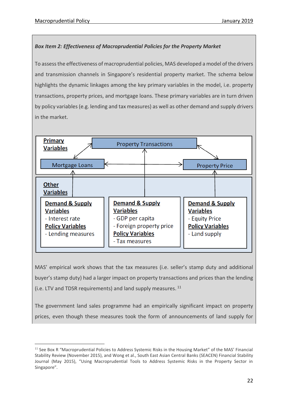1

#### *Box Item 2: Effectiveness of Macroprudential Policies for the Property Market*

To assessthe effectiveness of macroprudential policies, MAS developed a model of the drivers and transmission channels in Singapore's residential property market. The schema below highlights the dynamic linkages among the key primary variables in the model, i.e. property transactions, property prices, and mortgage loans. These primary variables are in turn driven by policy variables (e.g. lending and tax measures) as well as other demand and supply drivers in the market.

![](_page_22_Figure_4.jpeg)

MAS' empirical work shows that the tax measures (i.e. seller's stamp duty and additional buyer's stamp duty) had a larger impact on property transactions and prices than the lending (i.e. LTV and TDSR requirements) and land supply measures. <sup>11</sup>

The government land sales programme had an empirically significant impact on property prices, even though these measures took the form of announcements of land supply for

 $11$  See Box R "Macroprudential Policies to Address Systemic Risks in the Housing Market" of the MAS' Financial Stability Review (November 2015), and Wong et al., South East Asian Central Banks (SEACEN) Financial Stability Journal (May 2015), "Using Macroprudential Tools to Address Systemic Risks in the Property Sector in Singapore".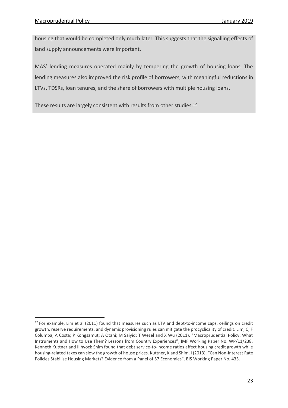<u>.</u>

housing that would be completed only much later. This suggests that the signalling effects of land supply announcements were important.

MAS' lending measures operated mainly by tempering the growth of housing loans. The lending measures also improved the risk profile of borrowers, with meaningful reductions in LTVs, TDSRs, loan tenures, and the share of borrowers with multiple housing loans.

These results are largely consistent with results from other studies.<sup>12</sup>

 $12$  For example, Lim et al (2011) found that measures such as LTV and debt-to-income caps, ceilings on credit growth, reserve requirements, and dynamic provisioning rules can mitigate the procyclicality of credit. Lim, C; F Columba; A Costa; P Kongsamut; A Otani; M Saiyid; T Wezel and X Wu (2011), "Macroprudential Policy: What Instruments and How to Use Them? Lessons from Country Experiences", IMF Working Paper No. WP/11/238. Kenneth Kuttner and Illhyock Shim found that debt service-to-income ratios affect housing credit growth while housing-related taxes can slow the growth of house prices. Kuttner, K and Shim, I (2013), "Can Non-Interest Rate Policies Stabilise Housing Markets? Evidence from a Panel of 57 Economies", BIS Working Paper No. 433.